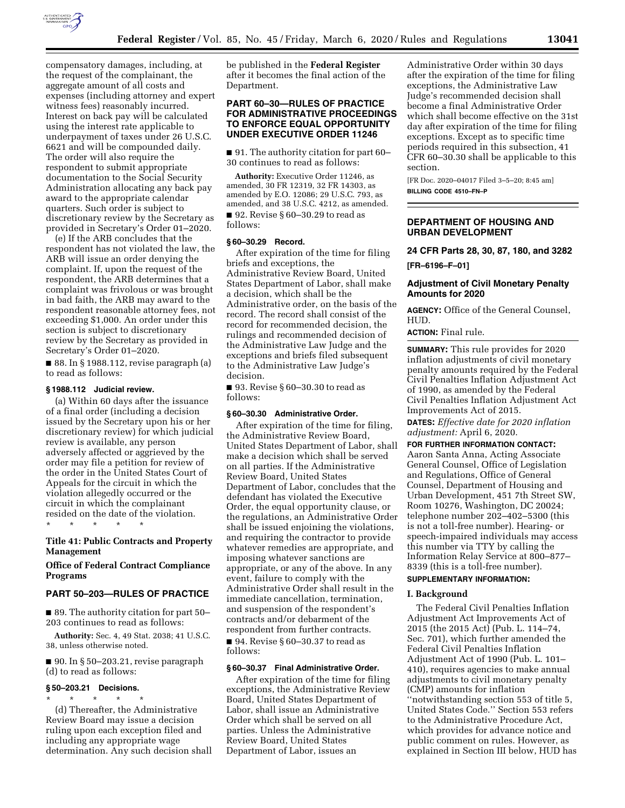

compensatory damages, including, at the request of the complainant, the aggregate amount of all costs and expenses (including attorney and expert witness fees) reasonably incurred. Interest on back pay will be calculated using the interest rate applicable to underpayment of taxes under 26 U.S.C. 6621 and will be compounded daily. The order will also require the respondent to submit appropriate documentation to the Social Security Administration allocating any back pay award to the appropriate calendar quarters. Such order is subject to discretionary review by the Secretary as provided in Secretary's Order 01–2020.

(e) If the ARB concludes that the respondent has not violated the law, the ARB will issue an order denying the complaint. If, upon the request of the respondent, the ARB determines that a complaint was frivolous or was brought in bad faith, the ARB may award to the respondent reasonable attorney fees, not exceeding \$1,000. An order under this section is subject to discretionary review by the Secretary as provided in Secretary's Order 01–2020.

■ 88. In § 1988.112, revise paragraph (a) to read as follows:

#### **§ 1988.112 Judicial review.**

(a) Within 60 days after the issuance of a final order (including a decision issued by the Secretary upon his or her discretionary review) for which judicial review is available, any person adversely affected or aggrieved by the order may file a petition for review of the order in the United States Court of Appeals for the circuit in which the violation allegedly occurred or the circuit in which the complainant resided on the date of the violation.

\* \* \* \* \*

# **Title 41: Public Contracts and Property Management**

# **Office of Federal Contract Compliance Programs**

#### **PART 50–203—RULES OF PRACTICE**

■ 89. The authority citation for part 50– 203 continues to read as follows:

**Authority:** Sec. 4, 49 Stat. 2038; 41 U.S.C. 38, unless otherwise noted.

 $\blacksquare$  90. In § 50–203.21, revise paragraph (d) to read as follows:

#### **§ 50–203.21 Decisions.**

\* \* \* \* \* (d) Thereafter, the Administrative Review Board may issue a decision

ruling upon each exception filed and including any appropriate wage determination. Any such decision shall be published in the **Federal Register**  after it becomes the final action of the Department.

# **PART 60–30—RULES OF PRACTICE FOR ADMINISTRATIVE PROCEEDINGS TO ENFORCE EQUAL OPPORTUNITY UNDER EXECUTIVE ORDER 11246**

■ 91. The authority citation for part 60– 30 continues to read as follows:

**Authority:** Executive Order 11246, as amended, 30 FR 12319, 32 FR 14303, as amended by E.O. 12086; 29 U.S.C. 793, as amended, and 38 U.S.C. 4212, as amended. ■ 92. Revise § 60–30.29 to read as follows:

# **§ 60–30.29 Record.**

After expiration of the time for filing briefs and exceptions, the Administrative Review Board, United States Department of Labor, shall make a decision, which shall be the Administrative order, on the basis of the record. The record shall consist of the record for recommended decision, the rulings and recommended decision of the Administrative Law Judge and the exceptions and briefs filed subsequent to the Administrative Law Judge's decision.

■ 93. Revise § 60–30.30 to read as follows:

#### **§ 60–30.30 Administrative Order.**

After expiration of the time for filing, the Administrative Review Board, United States Department of Labor, shall make a decision which shall be served on all parties. If the Administrative Review Board, United States Department of Labor, concludes that the defendant has violated the Executive Order, the equal opportunity clause, or the regulations, an Administrative Order shall be issued enjoining the violations, and requiring the contractor to provide whatever remedies are appropriate, and imposing whatever sanctions are appropriate, or any of the above. In any event, failure to comply with the Administrative Order shall result in the immediate cancellation, termination, and suspension of the respondent's contracts and/or debarment of the respondent from further contracts. ■ 94. Revise § 60–30.37 to read as follows:

### **§ 60–30.37 Final Administrative Order.**

After expiration of the time for filing exceptions, the Administrative Review Board, United States Department of Labor, shall issue an Administrative Order which shall be served on all parties. Unless the Administrative Review Board, United States Department of Labor, issues an

Administrative Order within 30 days after the expiration of the time for filing exceptions, the Administrative Law Judge's recommended decision shall become a final Administrative Order which shall become effective on the 31st day after expiration of the time for filing exceptions. Except as to specific time periods required in this subsection, 41 CFR 60–30.30 shall be applicable to this section.

[FR Doc. 2020–04017 Filed 3–5–20; 8:45 am] **BILLING CODE 4510–FN–P** 

### **DEPARTMENT OF HOUSING AND URBAN DEVELOPMENT**

**24 CFR Parts 28, 30, 87, 180, and 3282** 

**[FR–6196–F–01]** 

### **Adjustment of Civil Monetary Penalty Amounts for 2020**

**AGENCY:** Office of the General Counsel, HUD.

# **ACTION:** Final rule.

**SUMMARY:** This rule provides for 2020 inflation adjustments of civil monetary penalty amounts required by the Federal Civil Penalties Inflation Adjustment Act of 1990, as amended by the Federal Civil Penalties Inflation Adjustment Act Improvements Act of 2015. **DATES:** *Effective date for 2020 inflation adjustment:* April 6, 2020.

**FOR FURTHER INFORMATION CONTACT:**  Aaron Santa Anna, Acting Associate General Counsel, Office of Legislation and Regulations, Office of General Counsel, Department of Housing and Urban Development, 451 7th Street SW, Room 10276, Washington, DC 20024; telephone number 202–402–5300 (this is not a toll-free number). Hearing- or speech-impaired individuals may access this number via TTY by calling the Information Relay Service at 800–877– 8339 (this is a toll-free number).

# **SUPPLEMENTARY INFORMATION:**

#### **I. Background**

The Federal Civil Penalties Inflation Adjustment Act Improvements Act of 2015 (the 2015 Act) (Pub. L. 114–74, Sec. 701), which further amended the Federal Civil Penalties Inflation Adjustment Act of 1990 (Pub. L. 101– 410), requires agencies to make annual adjustments to civil monetary penalty (CMP) amounts for inflation ''notwithstanding section 553 of title 5, United States Code.'' Section 553 refers to the Administrative Procedure Act, which provides for advance notice and public comment on rules. However, as explained in Section III below, HUD has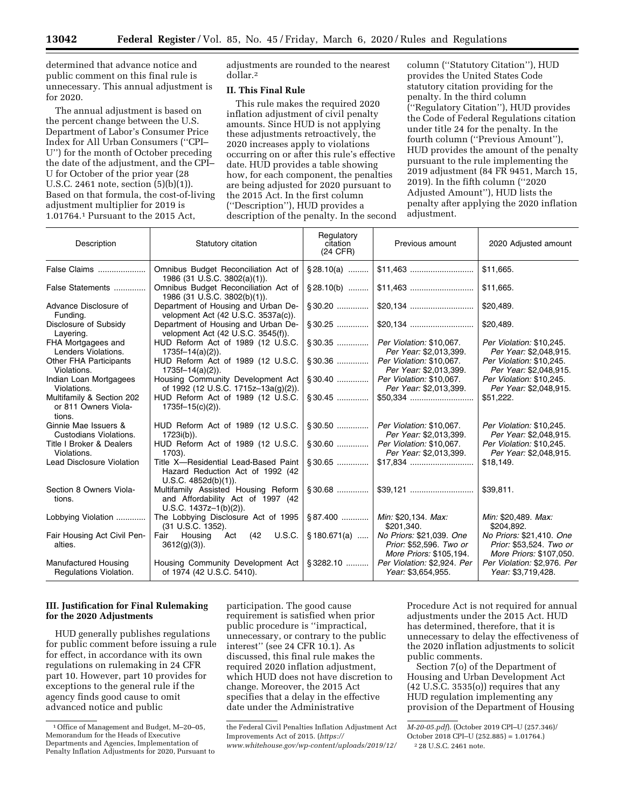determined that advance notice and public comment on this final rule is unnecessary. This annual adjustment is for 2020.

The annual adjustment is based on the percent change between the U.S. Department of Labor's Consumer Price Index for All Urban Consumers (''CPI– U'') for the month of October preceding the date of the adjustment, and the CPI– U for October of the prior year (28 U.S.C. 2461 note, section (5)(b)(1)). Based on that formula, the cost-of-living adjustment multiplier for 2019 is 1.01764.1 Pursuant to the 2015 Act,

adjustments are rounded to the nearest dollar.2

# **II. This Final Rule**

This rule makes the required 2020 inflation adjustment of civil penalty amounts. Since HUD is not applying these adjustments retroactively, the 2020 increases apply to violations occurring on or after this rule's effective date. HUD provides a table showing how, for each component, the penalties are being adjusted for 2020 pursuant to the 2015 Act. In the first column (''Description''), HUD provides a description of the penalty. In the second

column (''Statutory Citation''), HUD provides the United States Code statutory citation providing for the penalty. In the third column (''Regulatory Citation''), HUD provides the Code of Federal Regulations citation under title 24 for the penalty. In the fourth column (''Previous Amount''), HUD provides the amount of the penalty pursuant to the rule implementing the 2019 adjustment (84 FR 9451, March 15, 2019). In the fifth column (''2020 Adjusted Amount''), HUD lists the penalty after applying the 2020 inflation adjustment.

| Description                                                 | Statutory citation                                                                                    | Regulatory<br>citation<br>(24 CFR) | Previous amount                                                                | 2020 Adjusted amount                                                           |
|-------------------------------------------------------------|-------------------------------------------------------------------------------------------------------|------------------------------------|--------------------------------------------------------------------------------|--------------------------------------------------------------------------------|
| False Claims                                                | Omnibus Budget Reconciliation Act of<br>1986 (31 U.S.C. 3802(a)(1)).                                  | $\S 28.10(a)$                      |                                                                                | \$11,665.                                                                      |
| False Statements                                            | Omnibus Budget Reconciliation Act of<br>1986 (31 U.S.C. 3802(b)(1)).                                  | $$28.10(b)$                        |                                                                                | \$11,665.                                                                      |
| Advance Disclosure of<br>Funding.                           | Department of Housing and Urban De-<br>velopment Act (42 U.S.C. 3537a(c)).                            |                                    |                                                                                | \$20,489.                                                                      |
| Disclosure of Subsidy<br>Layering.                          | Department of Housing and Urban De-<br>velopment Act (42 U.S.C. 3545(f)).                             |                                    |                                                                                | \$20,489.                                                                      |
| FHA Mortgagees and<br>Lenders Violations.                   | HUD Reform Act of 1989 (12 U.S.C.<br>$1735f-14(a)(2)$ ).                                              |                                    | Per Violation: \$10,067.<br>Per Year: \$2,013,399.                             | Per Violation: \$10.245.<br>Per Year: \$2,048,915.                             |
| Other FHA Participants<br>Violations.                       | HUD Reform Act of 1989 (12 U.S.C.<br>$1735f - 14(a)(2)$ ).                                            | $§ 30.36$                          | Per Violation: \$10,067.<br>Per Year: \$2,013,399.                             | Per Violation: \$10.245.<br>Per Year: \$2,048,915.                             |
| Indian Loan Mortgagees<br>Violations.                       | Housing Community Development Act<br>of 1992 (12 U.S.C. 1715z-13a(q)(2)).                             |                                    | Per Violation: \$10,067.<br>Per Year: \$2,013,399.                             | Per Violation: \$10,245.<br>Per Year: \$2,048,915.                             |
| Multifamily & Section 202<br>or 811 Owners Viola-<br>tions. | HUD Reform Act of 1989 (12 U.S.C.<br>$1735f-15(c)(2)$ ).                                              |                                    |                                                                                | \$51,222.                                                                      |
| Ginnie Mae Issuers &<br>Custodians Violations.              | HUD Reform Act of 1989 (12 U.S.C.<br>1723i(b)).                                                       | $§ 30.50$                          | Per Violation: \$10,067.<br>Per Year: \$2,013,399.                             | Per Violation: \$10,245.<br>Per Year: \$2,048,915.                             |
| Title I Broker & Dealers<br>Violations.                     | HUD Reform Act of 1989 (12 U.S.C.<br>1703).                                                           | $§ 30.60$                          | Per Violation: \$10,067.<br>Per Year: \$2,013,399.                             | Per Violation: \$10,245.<br>Per Year: \$2,048,915.                             |
| Lead Disclosure Violation                                   | Title X-Residential Lead-Based Paint<br>Hazard Reduction Act of 1992 (42)<br>U.S.C. 4852d(b)(1)).     | §30.65                             |                                                                                | \$18,149.                                                                      |
| Section 8 Owners Viola-<br>tions.                           | Multifamily Assisted Housing Reform<br>and Affordability Act of 1997 (42<br>$U.S.C. 1437z-1(b)(2)$ ). |                                    |                                                                                | \$39,811.                                                                      |
| Lobbying Violation                                          | The Lobbying Disclosure Act of 1995<br>(31 U.S.C. 1352).                                              | $§87.400$                          | Min: \$20,134. Max:<br>\$201,340.                                              | Min: \$20,489. Max:<br>\$204,892.                                              |
| Fair Housing Act Civil Pen-<br>alties.                      | Act (42 U.S.C.<br>Fair Housing<br>$3612(g)(3)$ ).                                                     | $$180.671(a)$                      | No Priors: \$21,039. One<br>Prior: \$52,596. Two or<br>More Priors: \$105,194. | No Priors: \$21,410. One<br>Prior: \$53,524. Two or<br>More Priors: \$107,050. |
| Manufactured Housing<br>Regulations Violation.              | Housing Community Development Act<br>of 1974 (42 U.S.C. 5410).                                        | $\frac{1}{2}$ 3282.10              | Per Violation: \$2,924. Per<br>Year: \$3,654,955.                              | Per Violation: \$2,976. Per<br>Year: \$3,719,428.                              |

# **III. Justification for Final Rulemaking for the 2020 Adjustments**

HUD generally publishes regulations for public comment before issuing a rule for effect, in accordance with its own regulations on rulemaking in 24 CFR part 10. However, part 10 provides for exceptions to the general rule if the agency finds good cause to omit advanced notice and public

participation. The good cause requirement is satisfied when prior public procedure is ''impractical, unnecessary, or contrary to the public interest'' (see 24 CFR 10.1). As discussed, this final rule makes the required 2020 inflation adjustment, which HUD does not have discretion to change. Moreover, the 2015 Act specifies that a delay in the effective date under the Administrative

Procedure Act is not required for annual adjustments under the 2015 Act. HUD has determined, therefore, that it is unnecessary to delay the effectiveness of the 2020 inflation adjustments to solicit public comments.

Section 7(o) of the Department of Housing and Urban Development Act  $(42 \text{ U.S.C. } 3535(0))$  requires that any HUD regulation implementing any provision of the Department of Housing

<sup>1</sup>Office of Management and Budget, M–20–05, Memorandum for the Heads of Executive Departments and Agencies, Implementation of Penalty Inflation Adjustments for 2020, Pursuant to

the Federal Civil Penalties Inflation Adjustment Act Improvements Act of 2015. (*[https://](https://www.whitehouse.gov/wp-content/uploads/2019/12/M-20-05.pdf) [www.whitehouse.gov/wp-content/uploads/2019/12/](https://www.whitehouse.gov/wp-content/uploads/2019/12/M-20-05.pdf)* 

*[M-20-05.pdf](https://www.whitehouse.gov/wp-content/uploads/2019/12/M-20-05.pdf)*). (October 2019 CPI–U (257.346)/ October 2018 CPI–U (252.885) = 1.01764.)

<sup>2</sup> 28 U.S.C. 2461 note.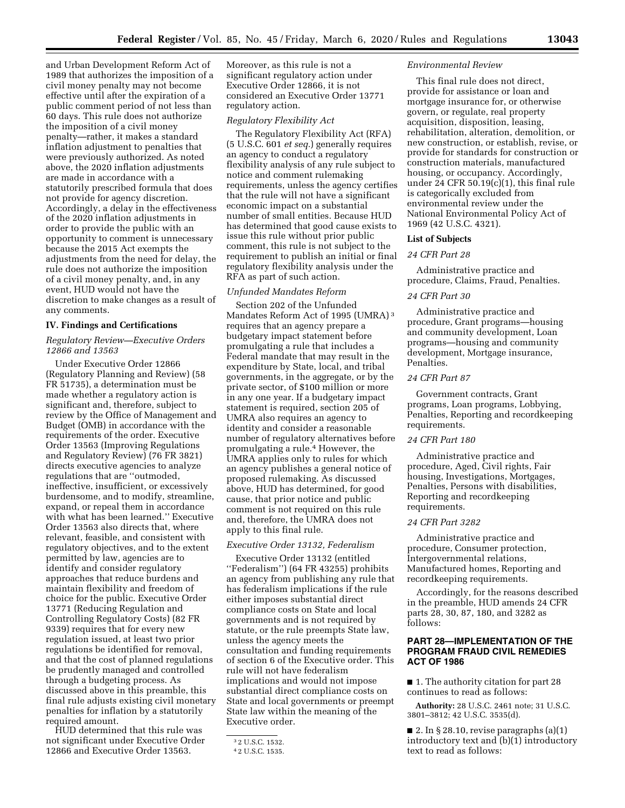and Urban Development Reform Act of 1989 that authorizes the imposition of a civil money penalty may not become effective until after the expiration of a public comment period of not less than 60 days. This rule does not authorize the imposition of a civil money penalty—rather, it makes a standard inflation adjustment to penalties that were previously authorized. As noted above, the 2020 inflation adjustments are made in accordance with a statutorily prescribed formula that does not provide for agency discretion. Accordingly, a delay in the effectiveness of the 2020 inflation adjustments in order to provide the public with an opportunity to comment is unnecessary because the 2015 Act exempts the adjustments from the need for delay, the rule does not authorize the imposition of a civil money penalty, and, in any event, HUD would not have the discretion to make changes as a result of any comments.

# **IV. Findings and Certifications**

### *Regulatory Review—Executive Orders 12866 and 13563*

Under Executive Order 12866 (Regulatory Planning and Review) (58 FR 51735), a determination must be made whether a regulatory action is significant and, therefore, subject to review by the Office of Management and Budget (OMB) in accordance with the requirements of the order. Executive Order 13563 (Improving Regulations and Regulatory Review) (76 FR 3821) directs executive agencies to analyze regulations that are ''outmoded, ineffective, insufficient, or excessively burdensome, and to modify, streamline, expand, or repeal them in accordance with what has been learned.'' Executive Order 13563 also directs that, where relevant, feasible, and consistent with regulatory objectives, and to the extent permitted by law, agencies are to identify and consider regulatory approaches that reduce burdens and maintain flexibility and freedom of choice for the public. Executive Order 13771 (Reducing Regulation and Controlling Regulatory Costs) (82 FR 9339) requires that for every new regulation issued, at least two prior regulations be identified for removal, and that the cost of planned regulations be prudently managed and controlled through a budgeting process. As discussed above in this preamble, this final rule adjusts existing civil monetary penalties for inflation by a statutorily required amount.

HUD determined that this rule was not significant under Executive Order 12866 and Executive Order 13563.

Moreover, as this rule is not a significant regulatory action under Executive Order 12866, it is not considered an Executive Order 13771 regulatory action.

# *Regulatory Flexibility Act*

The Regulatory Flexibility Act (RFA) (5 U.S.C. 601 *et seq.*) generally requires an agency to conduct a regulatory flexibility analysis of any rule subject to notice and comment rulemaking requirements, unless the agency certifies that the rule will not have a significant economic impact on a substantial number of small entities. Because HUD has determined that good cause exists to issue this rule without prior public comment, this rule is not subject to the requirement to publish an initial or final regulatory flexibility analysis under the RFA as part of such action.

### *Unfunded Mandates Reform*

Section 202 of the Unfunded Mandates Reform Act of 1995 (UMRA) 3 requires that an agency prepare a budgetary impact statement before promulgating a rule that includes a Federal mandate that may result in the expenditure by State, local, and tribal governments, in the aggregate, or by the private sector, of \$100 million or more in any one year. If a budgetary impact statement is required, section 205 of UMRA also requires an agency to identity and consider a reasonable number of regulatory alternatives before promulgating a rule.4 However, the UMRA applies only to rules for which an agency publishes a general notice of proposed rulemaking. As discussed above, HUD has determined, for good cause, that prior notice and public comment is not required on this rule and, therefore, the UMRA does not apply to this final rule.

# *Executive Order 13132, Federalism*

Executive Order 13132 (entitled ''Federalism'') (64 FR 43255) prohibits an agency from publishing any rule that has federalism implications if the rule either imposes substantial direct compliance costs on State and local governments and is not required by statute, or the rule preempts State law, unless the agency meets the consultation and funding requirements of section 6 of the Executive order. This rule will not have federalism implications and would not impose substantial direct compliance costs on State and local governments or preempt State law within the meaning of the Executive order.

### *Environmental Review*

This final rule does not direct, provide for assistance or loan and mortgage insurance for, or otherwise govern, or regulate, real property acquisition, disposition, leasing, rehabilitation, alteration, demolition, or new construction, or establish, revise, or provide for standards for construction or construction materials, manufactured housing, or occupancy. Accordingly, under 24 CFR 50.19(c)(1), this final rule is categorically excluded from environmental review under the National Environmental Policy Act of 1969 (42 U.S.C. 4321).

### **List of Subjects**

### *24 CFR Part 28*

Administrative practice and procedure, Claims, Fraud, Penalties.

## *24 CFR Part 30*

Administrative practice and procedure, Grant programs—housing and community development, Loan programs—housing and community development, Mortgage insurance, Penalties.

# *24 CFR Part 87*

Government contracts, Grant programs, Loan programs, Lobbying, Penalties, Reporting and recordkeeping requirements.

#### *24 CFR Part 180*

Administrative practice and procedure, Aged, Civil rights, Fair housing, Investigations, Mortgages, Penalties, Persons with disabilities, Reporting and recordkeeping requirements.

### *24 CFR Part 3282*

Administrative practice and procedure, Consumer protection, Intergovernmental relations, Manufactured homes, Reporting and recordkeeping requirements.

Accordingly, for the reasons described in the preamble, HUD amends 24 CFR parts 28, 30, 87, 180, and 3282 as follows:

# **PART 28—IMPLEMENTATION OF THE PROGRAM FRAUD CIVIL REMEDIES ACT OF 1986**

■ 1. The authority citation for part 28 continues to read as follows:

**Authority:** 28 U.S.C. 2461 note; 31 U.S.C. 3801–3812; 42 U.S.C. 3535(d).

■ 2. In § 28.10, revise paragraphs (a)(1) introductory text and (b)(1) introductory text to read as follows:

<sup>3</sup> 2 U.S.C. 1532.

<sup>4</sup> 2 U.S.C. 1535.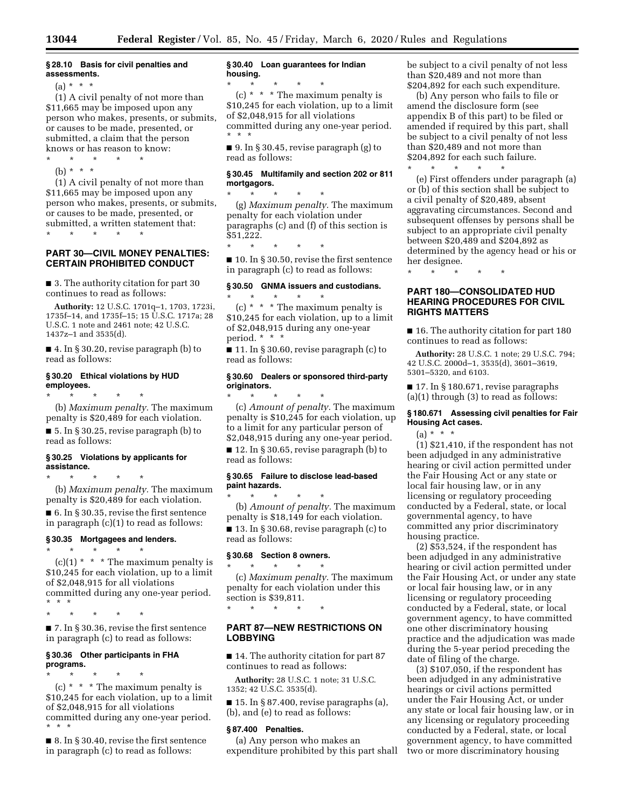# **§ 28.10 Basis for civil penalties and assessments.**

 $(a) * * * *$ 

(1) A civil penalty of not more than \$11,665 may be imposed upon any person who makes, presents, or submits, or causes to be made, presented, or submitted, a claim that the person knows or has reason to know:

- $\star$   $\star$   $\star$
- (b) \* \* \*

(1) A civil penalty of not more than \$11,665 may be imposed upon any person who makes, presents, or submits, or causes to be made, presented, or submitted, a written statement that: \* \* \* \* \*

# **PART 30—CIVIL MONEY PENALTIES: CERTAIN PROHIBITED CONDUCT**

■ 3. The authority citation for part 30 continues to read as follows:

**Authority:** 12 U.S.C. 1701q–1, 1703, 1723i, 1735f–14, and 1735f–15; 15 U.S.C. 1717a; 28 U.S.C. 1 note and 2461 note; 42 U.S.C. 1437z–1 and 3535(d).

■ 4. In § 30.20, revise paragraph (b) to read as follows:

### **§ 30.20 Ethical violations by HUD employees.**

\* \* \* \* \* (b) *Maximum penalty.* The maximum penalty is \$20,489 for each violation.

 $\blacksquare$  5. In § 30.25, revise paragraph (b) to read as follows:

#### **§ 30.25 Violations by applicants for assistance.**

\* \* \* \* \* (b) *Maximum penalty.* The maximum penalty is \$20,489 for each violation.

 $\blacksquare$  6. In § 30.35, revise the first sentence in paragraph (c)(1) to read as follows:

# **§ 30.35 Mortgagees and lenders.**

\* \* \* \* \*  $(c)(1)$  \* \* \* The maximum penalty is \$10,245 for each violation, up to a limit of \$2,048,915 for all violations committed during any one-year period. \* \* \*

\* \* \* \* \*

■ 7. In § 30.36, revise the first sentence in paragraph (c) to read as follows:

# **§ 30.36 Other participants in FHA programs.**

\* \* \* \* \* (c)  $* * * The maximum penalty is$ \$10,245 for each violation, up to a limit of \$2,048,915 for all violations committed during any one-year period. \* \* \*

■ 8. In § 30.40, revise the first sentence in paragraph (c) to read as follows:

# **§ 30.40 Loan guarantees for Indian housing.**

\* \* \* \* \* (c) \* \* \* The maximum penalty is \$10,245 for each violation, up to a limit of \$2,048,915 for all violations committed during any one-year period. \* \* \*

 $\blacksquare$  9. In § 30.45, revise paragraph (g) to read as follows:

### **§ 30.45 Multifamily and section 202 or 811 mortgagors.**

\* \* \* \* \* (g) *Maximum penalty.* The maximum penalty for each violation under paragraphs (c) and (f) of this section is \$51,222.

\* \* \* \* \* ■ 10. In § 30.50, revise the first sentence in paragraph (c) to read as follows:

# **§ 30.50 GNMA issuers and custodians.**

 $\star$   $\star$   $\star$ (c) \* \* \* The maximum penalty is \$10,245 for each violation, up to a limit of \$2,048,915 during any one-year period. \* \* \*

■ 11. In § 30.60, revise paragraph (c) to read as follows:

# **§ 30.60 Dealers or sponsored third-party originators.**

\* \* \* \* \* (c) *Amount of penalty.* The maximum penalty is \$10,245 for each violation, up to a limit for any particular person of \$2,048,915 during any one-year period.

■ 12. In § 30.65, revise paragraph (b) to read as follows:

#### **§ 30.65 Failure to disclose lead-based paint hazards.**

\* \* \* \* \* (b) *Amount of penalty.* The maximum penalty is \$18,149 for each violation. ■ 13. In § 30.68, revise paragraph (c) to read as follows:

# **§ 30.68 Section 8 owners.**

 $*$  \*

\* \* \* \* \* (c) *Maximum penalty.* The maximum penalty for each violation under this section is \$39,811.

# **PART 87—NEW RESTRICTIONS ON LOBBYING**

■ 14. The authority citation for part 87 continues to read as follows:

**Authority:** 28 U.S.C. 1 note; 31 U.S.C. 1352; 42 U.S.C. 3535(d).

 $\blacksquare$  15. In § 87.400, revise paragraphs (a), (b), and (e) to read as follows:

#### **§ 87.400 Penalties.**

(a) Any person who makes an expenditure prohibited by this part shall be subject to a civil penalty of not less than \$20,489 and not more than \$204,892 for each such expenditure.

(b) Any person who fails to file or amend the disclosure form (see appendix B of this part) to be filed or amended if required by this part, shall be subject to a civil penalty of not less than \$20,489 and not more than \$204,892 for each such failure.

\* \* \* \* \* (e) First offenders under paragraph (a) or (b) of this section shall be subject to a civil penalty of \$20,489, absent aggravating circumstances. Second and subsequent offenses by persons shall be subject to an appropriate civil penalty between \$20,489 and \$204,892 as determined by the agency head or his or her designee.

\* \* \* \* \*

# **PART 180—CONSOLIDATED HUD HEARING PROCEDURES FOR CIVIL RIGHTS MATTERS**

■ 16. The authority citation for part 180 continues to read as follows:

**Authority:** 28 U.S.C. 1 note; 29 U.S.C. 794; 42 U.S.C. 2000d–1, 3535(d), 3601–3619, 5301–5320, and 6103.

■ 17. In § 180.671, revise paragraphs (a)(1) through (3) to read as follows:

# **§ 180.671 Assessing civil penalties for Fair Housing Act cases.**

(a) \* \* \*

(1) \$21,410, if the respondent has not been adjudged in any administrative hearing or civil action permitted under the Fair Housing Act or any state or local fair housing law, or in any licensing or regulatory proceeding conducted by a Federal, state, or local governmental agency, to have committed any prior discriminatory housing practice.

(2) \$53,524, if the respondent has been adjudged in any administrative hearing or civil action permitted under the Fair Housing Act, or under any state or local fair housing law, or in any licensing or regulatory proceeding conducted by a Federal, state, or local government agency, to have committed one other discriminatory housing practice and the adjudication was made during the 5-year period preceding the date of filing of the charge.

(3) \$107,050, if the respondent has been adjudged in any administrative hearings or civil actions permitted under the Fair Housing Act, or under any state or local fair housing law, or in any licensing or regulatory proceeding conducted by a Federal, state, or local government agency, to have committed two or more discriminatory housing